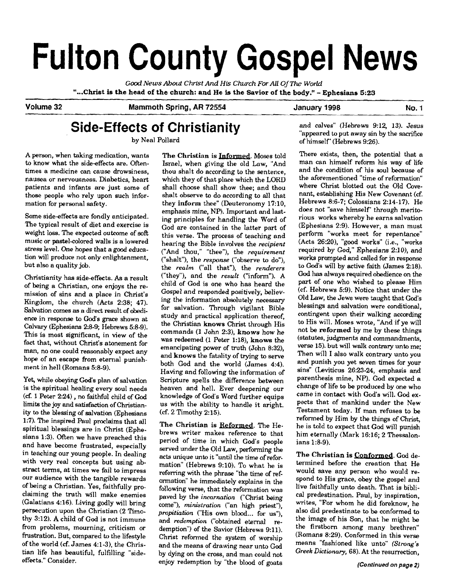# **Fulton County Gospel News**

**Gd News About** *Christ* **And His** *Chuch For All* **Of The** *WorId*  **"...Christ is the head of the** church: and **He** is **the** Savior **of the** body." - Ephesians **5:23** 

**Volume 32 Mammoth Spring, AR 72554 January 1998 No. 1** 

## **Side-Effects of Christianity**

by Neal Pollard

A person, when taking medication, wants to know what the side-effects are. Oftentimes a medicine can cause drowsiness, nausea or nervousness. Diabetics, heart patients and infants are just some of those people who rely upon such information for personal safety.

Some side-effects are fondly anticipated. The typical result of diet and exercise is weight loss. The expected outcome of *soft*  music or pastel-colored walls is a lowered stress level. One hopes that a good education will produce not only enlightenment, but also a quality job.

Christianity has side-effects. **As** a result of being a Christian, one enjoys the remission of sins and a place in Christ's Kingdom, the church (Acts 2:38; 47). Salvation comes as a direct result of obedience in response **to** God's grace shown at Calvary (Ephesians 2:8-9: Hebrews 5:8-9). This is most significant, in view of the fact that, without Christ's atonement for man, no one could reasonably expect any hope of an escape from eternal punishment in hell (Romans 5:8-9).

Yet, while obeying **God's** plan of salvation is the spiritual healing every soul needs **(cf.** 1 Peter 224) , no faithful child of **God**  limits the joy and satisfaction of Christianity to the blessing of salvation (Ephesians 1:7). The inspired Paul proclaims that all spiritual blessings are in Christ (Ephesians 1:3). Often we have preached this and have become frustrated, especially in teaching our young people. In dealing with very real concepts but using abstract terms, at times we fail to impress our audience with the tangible rewards of being a Christian. Yes, faithfully proclaiming the truth will make enemies (Galatians 4:16). Living godly will bring persecution upon the Christian (2 Timothy 312). A child of God is not immune from problems, mourning, criticism or frustration. But, compared to the lifestyle of the world (cf. James 4:1-3), the Christian life has beautiful, fulfilling "sideeffects." Consider.

The Christian is Informed. Moses told Israel, when giving the old Law, "And thou shalt do according to the sentence, which they of that place which the LORD shall choose shall show thee; and thou shalt observe to do according to all that they inform thee" (Deuteronomy 17:10, emphasis mine, NP). Important and lasting principles for handling the Word of God are contained in the latter part of this verse. The process of teaching and hearing the Bible involves the *recipient*  ("And thou," "thee"), the *requirement*  ("shalt"), the *response* ("observe to do"), the *realm* ("all that"), the *renderers*  ("they"), and the *result* ("inform"). A child of God is one who has heard the Gospel and responded positively, believing the information absolutely necessary for salvation. Through vigilant Bible study and practical application thereof, the Christian knows Christ through His commands (1 John 2:3), knows how he was redeemed (1 Peter 1:18), knows the emancipating power of truth (John 8:32), and knows the fatality of trying to serve both God and the world (James 4:4). Having and following the information of Scripture spells the difference between heaven and hell. Ever deepening our knowledge of God's Word further equips us with the ability to handle it aright.  $(cf. 2 Timothy 2:15).$ 

The Christian is Reformed. The Hebrews writer makes reference to that period of time in which God's people served under the Old Law, performing the acts unique unto it "until the time of reformation" (Hebrews 9:lO). To what he is referring with the phrase "the time of reformation" he immediately explains in the following verse, that the reformation was paved by the *incarnation* ("Christ being come"), *ministration* ("an high priest"), *propitiation* ("His own blood... for us"), and *reckmption* ("obtained eternal redemption") of the Savior (Hebrews 9:11). Christ reformed the system of worship and the means of drawing near unto God by dying on the cross, and man could not enjoy redemption by "the blood of goats

and calves" (Hebrews 9:12, 13). Jesus "appeared to put away sin by the sacrifice of himself' (Hebrews 9:26).

There exists, then, the potential that a man can himself reform his way of life and the condition of his soul because of the aforementioned "time of reformation" where Christ blotted out the Old Covenant, establishing His New Covenant (cf. Hebrews 8:6-7; Colossians 2:14-17). He does not "save himself' through meritorious works whereby he earns salvation (Ephesians 2:9). However, a man must perform "works meet for repentance" (Acts 26:20), "good works" (i.e., "works required by God," Ephesians 2:10), and works prompted and called for in response to **God's** will by active faith (James 2:18). God has always required obedience on the part of one who wished to please Him  $(cf. Hebrews 5:9)$ . Notice that under the Old Law, the Jews were taught that God's blessings and salvation were conditional, contingent upon their walking according to His will. Moses wrote, "And if ye will not **be** reformed by me by these things (statutes, judgments and commandments, verse 15). but will walk contrary unto me; Then will I also walk contrary unto you and punish you yet seven times for your sins" (Leviticus 26:23-24, emphasis and parenthesis mine, NP). God expected a change of life to be produced by one who came in contact with God's will. **God** expects that of mankind under the New Testament today. If man refuses to be reformed by Him by the things of Christ, he is told to expect that God will punish him eternally (Mark 16:16; 2 Thessalonians 1:8-9).

The Christian is Conformed. God determined before the creation that He would save any person who would respond to His grace, obey the gospel and live faithfully unto death. That is biblical predestination. Paul, by inspiration, writes, "For whom he did foreknow, he also did predestinate to be conformed to the image of his Son, that he might be the firstborn among many brethren" (Romans 8:29). Conformed in this verse means "fashioned like unto" (Strong's *Greek Dictionary,* 68). At the resurrection,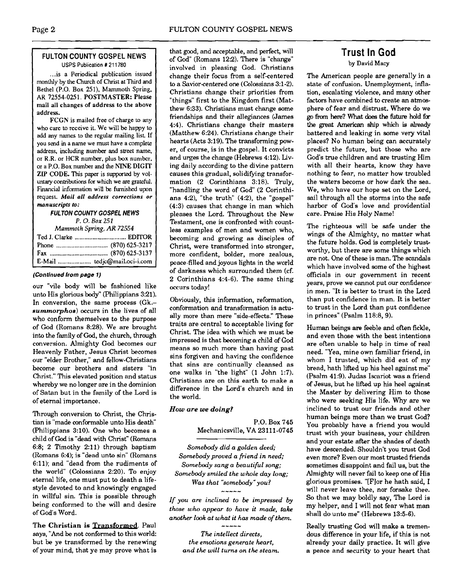#### **FULTON COUNTY GOSPEL NEWS USPS Publication # 211780**

... is a Periodical publication issued monthly by the Church of Christ at Third and Bethel (P.O. Box 251). Mammoth Spring. AR 72554-0251. POSTMASTER: Please mail all changes of address to the above address.

FCGN is mailed free of charge to any who care to receive it. We will be happy to add any names **to** the regular mailing list **If**  you send in a name we must have a complete address, including number **and** suet name, or R.R. or HCR number, plus box number, or a P.O. Box number and the NINE DIGIT **ZIP** CODE. This paper is supported by voluntary contributions for which we are grateful. Financial information will be furnished upon request. *Mail all* **address corrections or manuscripts to:** 

> **FULTON COUNTY GOSPEL NEWS**  *P.* 0. *Box 251*

*Mammoth* **Spring,** *AR 72554*  Ted **J.** Clarke ............................... EDITOR Phone ............................... (870) 625-3217 Fax ................................... (870) 625-3137 E-Mail .................... tedjc@mail.oci-i.com

#### **(Continued from page 1)**

our "vile body will be fashioned like unto His glorious body" (Philippians 3:21). In conversion, the same process (Gk. summorphos) occurs in the lives of all who conform themselves to the purpose of God (Romans 8:28). We are brought into the family of God, the churrh, through conversion. Almighty God becomes our Heavenly Father, Jesus Christ becomes our "elder Brother," and fellow-Christians become our brothers and sisters "in Christ." This elevated position and status whereby we no longer are in the dominion of Satan but in the family of the Lord is of eternal importance.

Through conversion to Christ, the Christian is "made conformable unto His death (Philippians 3:lO). One who becomes a child of God is "dead with Christ" (Romans 6:8; 2 Timothy 2:11) through baptism (Romans 6:4); is "dead unto sin" (Romans 6:ll); and "dead from the rudiments of the world" (Colossians 2:20). To enjoy eternal life, one must put to death a lifestyle devoted to and knowingly engaged in willful sin. This is possible through being conformed to the will and desire of God's Word.

**The Christian is Transformed.** Paul says, "And be not conformed to this world: but be ye transformed by the renewing of your mind, that ye may prove what is

that good, and acceptable, and perfect, will of God" (Romans 12:2). There is "change" involved in pleasing God. Christians change their focus from a self-centered to a Savior-centered one (Colossians 3:1-2). Christians change their priorities from "things" first to the Kingdom first (Matthew 6:33). Christians must change some friendships and their allegiances (James 4:4). Christians change their masters (Matthew 6:24). Christians change their hearts (Acts 3:19). The transforming power, of course, is in the gospel. It convicts and urges the change (Hebrews 4:12). Living daily according to the divine pattern causes this gradual, solidifying transformation (2 Corinthians 3:18). Truly, "handling the word of God" (2 Corinthians  $4:2$ ), "the truth"  $(4:2)$ , the "gospel" (4:3) causes that change in man which pleases the Lord. Throughout the New Testament, one is confronted with countless examples of men and women who, becoming and growing as disciples of Christ, were transformed into stronger, more confident, bolder, more zealous, peace-filled and joyous lights in the world of darkness which surrounded them (cf. 2 Corinthians 4:4-6). The same thing occurs today!

Obviously, this information, reformation, conformation and transformation is actually more than mere "side-effects." These traits are central to acceptable living for Christ. The idea with which we must be impressed is that becoming a child of **God**  means so much more than having past sins forgiven and having the confidence that sins are continually cleansed as one walks in "the light" (1 John 1:7). Christians are on this earth to make a difference in the Lord's church and in the world.

#### How are **we** doing?

P.O. Box 745 Mechanicsville, VA 23111-0745

*Somebody did a golden deed; Somebody proved a friend in need; Somebody sang a beautiful song; Somebody smiled the whole day long; Was that "somebody"you?* 

*If you are inclined to be impressed by those who appear to have it made, take another look at what it has ma& of them.*  -----

*The intellect directs, the emotions generate heart, and the will turns on the steam.* 

## **Trust In God**

**by David Macy** 

The American people are generally in a state of confusion. Unemployment, inflation, escalating violence, and many other factors have combined to create an atmosphere of fear and distrust. Where do we go from here? What does the future hold for the great **American** ship which **is already**  battered and leaking in some very vital places? No human being can accurately predict the future, but those who are God's true children and are trusting Him with all their hearts, know they have nothing to fear, no matter how troubled the waters become or how dark the sea. We, who have our hope set on the Lord, sail through all the storms into the safe harbor of God's love and providential care. **Praise** His Holy Name!

The righteous will be safe under the wings of the Almighty, no matter what the future holds. **God** is completely trustworthy, but there are some things which are not. One of these is man. The scandals which have involved some of the highest officials in our government in recent years, prove we cannot put our confidence. in men. "It is better to trust in the Lord than put confidence in man. It is better to trust in the Lord than put confidence in princes" (Psalm 118:8,9).

Human beings are feeble and often fickle, and even those with the best intentions are often unable to help in time of real need. "Yea, mine own familiar friend, in whom I trusted, which did eat of my bread, hath lifted up his heel against me" (Psalm 41:9). Judas Iscariot was a friend of Jesus, but he lifted up his heel against the Master by delivering Him to those who were seeking His life. Why are we inclined to trust our friends and other human beings more than we trust God? You probably have a friend you would trust with your business, your children and your estate after the shades of death have descended. Shouldn't you trust **God**  even more? Even our most trusted friends sometimes disappoint and fail us, but the Almighty will never fail to keep one of His glorious promises. "[Flor he hath said, I will never leave thee, nor forsake thee. So that we may boldly say, The Lord is my helper, and I will not fear what man shall do unto me" (Hebrews 13:5-6).

Really trusting God will make a tremendous difference in your life, if this is not already your daily practice. It will give a peace and security to your heart that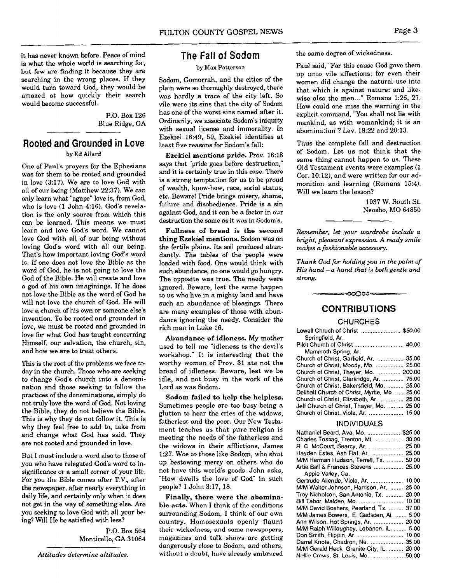it has never known before. Peace of mind is what the whole world is searching for, but few are finding it because they are searching in the wrong places. If they would turn toward God, they would be amazed at how quickly their search would become successful.

> P.O. Box 126 Blue Ridge, GA

## **Rooted and Grounded in Love**

by Ed Allard

One of Paul's prayers for the Ephesians was for them to be rooted and grounded in love (3:17). We are to love God with all of our being (Matthew 22:37). We can only learn what "agape" love is, from God, who is love (1 John 4:16). God's revelation is the only source from which this can be learned. This means we must learn and love God's word. We cannot love **God** with all of our being without loving God's word with all our being. That's how important loving God's word is. If one does not love the Bible as the word of God, he is not going to love the God of the Bible. He will create and love a god of his own imaginings. If he does not love the Bible as the word of God he will not love the church of God. He will love a church of his own or someone else's invention. To be rooted and grounded in love, we must be rooted and grounded in love for what God has taught concerning Himself, our salvation, the church, sin, and how we are to treat others.

This is the root of the problems we face to**day** in the church. Those who are seeking to change God's church into a denomination and those seeking to follow the practices of the denominations, simply do not truly love the word of God. Not loving the Bible, they do not believe the Bible. This is why they do not follow it. This is why they feel free to add to, take from and change what God has said. They are not rooted and grounded in love.

But I must include a word also to those of you who have relegated God's word to insignificance or a small corner of your life. For you the Bible comes after T.V., after the newspaper, after nearly everything in daily life, and certainly only when it does not get in the way of something else. Are you seeking to love God with all your being? Will He be satisfied with less?

> P.O. Box 564 Monticello, GA 31064

## **The Fall of Sodom**

#### **by Max** Pattcrson

Sodom, Gomorrah, and the cities of the plain were so thoroughly destroyed, there was hardly a trace of the city left. So vile were its sins that the city of Sodom has one of the worst sins named after it. Ordinarily, we associate Sodom's iniquity with sexual license and immorality. In Ezekiel 16:49, 50, Ezekiel identifies at least five reasons for Sodom's fall:

Ezekiel mentions pride. Prov. 16:18 says that "pride goes before destruction," and it is certainly true in this case. There is a strong temptation for us to be proud of wealth, know-how, race, social status, etc. Beware! Pride brings misery, shame, failure and disobedience. Pride is a sin against God, and it can be a factor in our destruction the same as it was in Sodom's.

Fullness of bread is the second thing Ezekiel mentions. Sodom was on the fertile plains. Its soil produced abundantly. The tables of the people were loaded with food. One would think with such abundance, no one would go hungry. The opposite was true. The needy were ignored. Beware, lest the same happen to us who live in a mighty land and have such an abundance of blessings. There are many examples of those with abundance ignoring the needy. Consider the rich man in Luke 16.

Abundance of idleness. My mother used to tell me "idleness is the devil's workshop." It is interesting that the worthy woman of Prov. 31 ate not the bread of idleness. Beware, lest we be idle, and not busy in the work of the Lord as was Sodom.

Sodom failed to help the helpless. Sometimes people are too busy being a glutton to hear the cries of the widows, fatherless and the poor. Our New Testament teaches us that pure religion is meeting the needs of the fatherless and the widows in their afflictions, James 127. Woe to those like Sodom. who shut up bestowing mercy on others who do not have this world's goods. John asks, "How dwells the love of God" in such people? 1 John 3:17, 18.

Finally, there were the abominable acts. When I think of the conditions surrounding Sodom, I think of our own country. Homosexuals openly flaunt their wickedness, and some newspapers, magazines and talk shows are getting dangerously close to Sodom, and others, without a doubt, have already embraced

the same degree of wickedness.

Paul said, "For this cause God gave them up unto vile affections: for even their women did change the natural use into that which is against nature: and likewise also the men..." Romans 1:26, 27. How could one miss the warning in the explicit command, "You shall not lie with mankind, as with womankind; it is an abomination"? Lev. 18:22 and 20:13.

Thus the complete fall and destruction of Sodom. Let us not think that the same thing cannot happen to us. These Old Testament events were examples (1 Cor. 10:12), and were written for our admonition and learning (Romans 15:4). Will we learn the lesson?

> 1037 W. South St. Neosho, MO 64850

*Remember, let your wardrobe include a bright, pleasant expression A ready smile makes a fashionable accessory.* 

*Thank God for holding you in the palm of His hand* - *a hand that is both gentle and strong.* 

#### **CONTRIBUTIONS**

#### **CHURCHES**

| Lowell Chruch of Christ  \$50.00<br>Springfield Ar.           |  |
|---------------------------------------------------------------|--|
|                                                               |  |
| Mammoth Spring, Ar.<br>Church of Christ, Garfield, Ar.  35.00 |  |
| Church of Christ, Moody, Mo.  25.00                           |  |
| Church of Christ, Thayer, Mo.  200.00                         |  |
| Church of Christ, Clarkridge, Ar.  75.00                      |  |
| Church of Christ, Bakersfield, Mo.  25.00                     |  |
| Dellhalf Church of Christ, Myrtle, Mo.  25.00                 |  |
| Church of Christ, Elizabeth, Ar.  25.00                       |  |
| Jeff Church of Christ, Thayer, Mo.  25.00                     |  |
| Church of Christ, Viola, Ar.  15.00                           |  |
|                                                               |  |

#### INDIVIDUALS

| Nathaniel Beard, Ava, Mo.  \$25.00        |       |
|-------------------------------------------|-------|
| Charles Tostiag, Trenton, Mi.  30.00      |       |
| R. C. McCourt, Searcy, Ar.  25.00         |       |
| Hayden Estes, Ash Flat, Ar.  25.00        |       |
| M/M Herman Hudson, Terrell, Tx.  50.00    |       |
| Artie Ball & Frances Stevens  25.00       |       |
| Apple Valley, Ca.                         |       |
| Gertrude Allende, Viola, Ar.  10.00       |       |
| M/M Walter Johnson, Harrison, Ar.  25.00  |       |
| Troy Nicholson, San Antonio, Tx.  20.00   |       |
|                                           |       |
| M/M David Boshers, Pearland, Tx.          | 37.00 |
| M/M James Bowers, E. Gadsden, Al.  5.00   |       |
| Ann Wilson, Hot Springs, Ar.  20.00       |       |
| M/M Ralph Willoughby, Lebanon, IL.  5.00  |       |
|                                           |       |
| Darrel Knote, Chadron, Ne.  35.00         |       |
| M/M Gerald Heck, Granite City, IL.  20.00 |       |
| Nellie Crews, St. Louis, Mo.  50.00       |       |